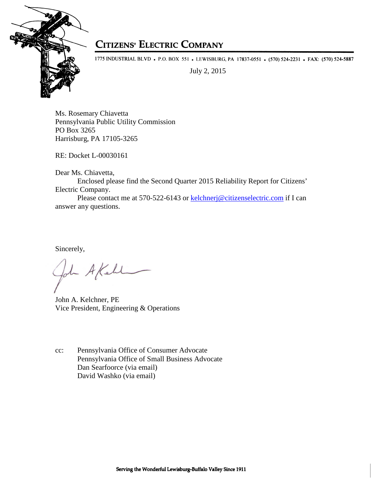

## **CITIZENS' ELECTRIC COMPANY**

1775 INDUSTRIAL BLVD • P.O. BOX 551 • LEWISBURG, PA 17837-0551 • (570) 524-2231 • FAX: (570) 524-5887

July 2, 2015

Ms. Rosemary Chiavetta Pennsylvania Public Utility Commission PO Box 3265 Harrisburg, PA 17105-3265

RE: Docket L-00030161

Dear Ms. Chiavetta,

Enclosed please find the Second Quarter 2015 Reliability Report for Citizens' Electric Company.

 Please contact me at 570-522-6143 or kelchnerj@citizenselectric.com if I can answer any questions.

Sincerely,

- A Kell

John A. Kelchner, PE Vice President, Engineering & Operations

cc: Pennsylvania Office of Consumer Advocate Pennsylvania Office of Small Business Advocate Dan Searfoorce (via email) David Washko (via email)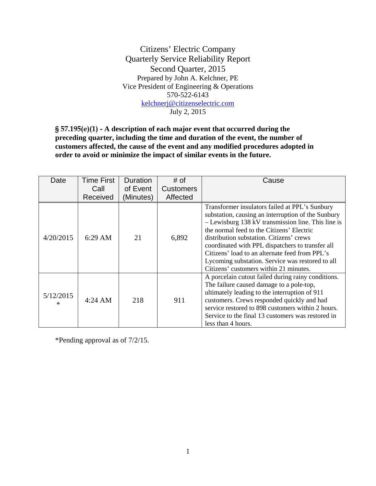Citizens' Electric Company Quarterly Service Reliability Report Second Quarter, 2015 Prepared by John A. Kelchner, PE Vice President of Engineering & Operations 570-522-6143 kelchnerj@citizenselectric.com July 2, 2015

§ 57.195(e)(1) - **A description of each major event that occurred during the preceding quarter, including the time and duration of the event, the number of customers affected, the cause of the event and any modified procedures adopted in order to avoid or minimize the impact of similar events in the future.** 

| Date           | <b>Time First</b> | <b>Duration</b> | # of             | Cause                                                                                                                                                                                                                                                                                                                                                                                                                                                     |
|----------------|-------------------|-----------------|------------------|-----------------------------------------------------------------------------------------------------------------------------------------------------------------------------------------------------------------------------------------------------------------------------------------------------------------------------------------------------------------------------------------------------------------------------------------------------------|
|                | Call              | of Event        | <b>Customers</b> |                                                                                                                                                                                                                                                                                                                                                                                                                                                           |
|                | Received          | (Minutes)       | Affected         |                                                                                                                                                                                                                                                                                                                                                                                                                                                           |
| 4/20/2015      | $6:29$ AM         | 21              | 6,892            | Transformer insulators failed at PPL's Sunbury<br>substation, causing an interruption of the Sunbury<br>$-$ Lewisburg 138 kV transmission line. This line is<br>the normal feed to the Citizens' Electric<br>distribution substation. Citizens' crews<br>coordinated with PPL dispatchers to transfer all<br>Citizens' load to an alternate feed from PPL's<br>Lycoming substation. Service was restored to all<br>Citizens' customers within 21 minutes. |
| 5/12/2015<br>× | $4:24 \text{ AM}$ | 218             | 911              | A porcelain cutout failed during rainy conditions.<br>The failure caused damage to a pole-top,<br>ultimately leading to the interruption of 911<br>customers. Crews responded quickly and had<br>service restored to 898 customers within 2 hours.<br>Service to the final 13 customers was restored in<br>less than 4 hours.                                                                                                                             |

\*Pending approval as of 7/2/15.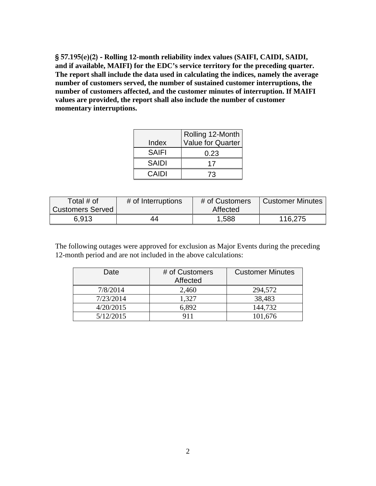§ 57.195(e)(2) - **Rolling 12-month reliability index values (SAIFI, CAIDI, SAIDI, and if available, MAIFI) for the EDC's service territory for the preceding quarter. The report shall include the data used in calculating the indices, namely the average number of customers served, the number of sustained customer interruptions, the number of customers affected, and the customer minutes of interruption. If MAIFI values are provided, the report shall also include the number of customer momentary interruptions.** 

|              | Rolling 12-Month         |
|--------------|--------------------------|
| Index        | <b>Value for Quarter</b> |
| <b>SAIFI</b> | 0.23                     |
| <b>SAIDI</b> | 17                       |
| CAIDI        | 73                       |

| Total # of              | # of Interruptions | # of Customers | Customer Minutes |
|-------------------------|--------------------|----------------|------------------|
| <b>Customers Served</b> |                    | Affected       |                  |
| 6.913                   | 44                 | 1,588          | 116,275          |

The following outages were approved for exclusion as Major Events during the preceding 12-month period and are not included in the above calculations:

| Date      | # of Customers<br>Affected | <b>Customer Minutes</b> |
|-----------|----------------------------|-------------------------|
| 7/8/2014  | 2,460                      | 294,572                 |
| 7/23/2014 | 1,327                      | 38,483                  |
| 4/20/2015 | 6.892                      | 144,732                 |
| 5/12/2015 |                            | 101,676                 |